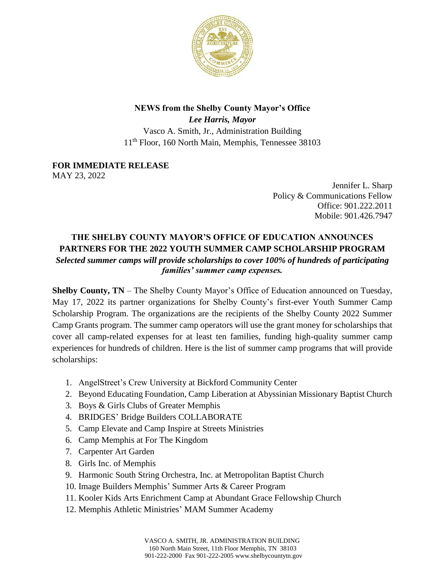

## **NEWS from the Shelby County Mayor's Office**

*Lee Harris, Mayor* Vasco A. Smith, Jr., Administration Building 11<sup>th</sup> Floor, 160 North Main, Memphis, Tennessee 38103

**FOR IMMEDIATE RELEASE** MAY 23, 2022

> Jennifer L. Sharp Policy & Communications Fellow Office: 901.222.2011 Mobile: 901.426.7947

## **THE SHELBY COUNTY MAYOR'S OFFICE OF EDUCATION ANNOUNCES PARTNERS FOR THE 2022 YOUTH SUMMER CAMP SCHOLARSHIP PROGRAM**  *Selected summer camps will provide scholarships to cover 100% of hundreds of participating families' summer camp expenses.*

**Shelby County, TN** – The Shelby County Mayor's Office of Education announced on Tuesday, May 17, 2022 its partner organizations for Shelby County's first-ever Youth Summer Camp Scholarship Program. The organizations are the recipients of the Shelby County 2022 Summer Camp Grants program. The summer camp operators will use the grant money for scholarships that cover all camp-related expenses for at least ten families, funding high-quality summer camp experiences for hundreds of children. Here is the list of summer camp programs that will provide scholarships:

- 1. AngelStreet's Crew University at Bickford Community Center
- 2. Beyond Educating Foundation, Camp Liberation at Abyssinian Missionary Baptist Church
- 3. Boys & Girls Clubs of Greater Memphis
- 4. BRIDGES' Bridge Builders COLLABORATE
- 5. Camp Elevate and Camp Inspire at Streets Ministries
- 6. Camp Memphis at For The Kingdom
- 7. Carpenter Art Garden
- 8. Girls Inc. of Memphis
- 9. Harmonic South String Orchestra, Inc. at Metropolitan Baptist Church
- 10. Image Builders Memphis' Summer Arts & Career Program
- 11. Kooler Kids Arts Enrichment Camp at Abundant Grace Fellowship Church
- 12. Memphis Athletic Ministries' MAM Summer Academy